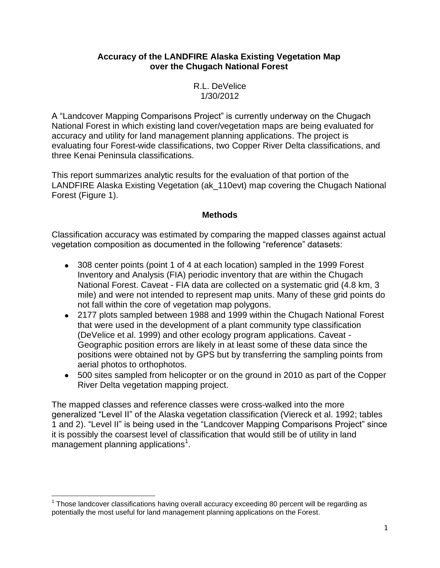## **Accuracy of the LANDFIRE Alaska Existing Vegetation Map over the Chugach National Forest**

R.L. DeVelice 1/30/2012

A "Landcover Mapping Comparisons Project" is currently underway on the Chugach National Forest in which existing land cover/vegetation maps are being evaluated for accuracy and utility for land management planning applications. The project is evaluating four Forest-wide classifications, two Copper River Delta classifications, and three Kenai Peninsula classifications.

This report summarizes analytic results for the evaluation of that portion of the LANDFIRE Alaska Existing Vegetation (ak\_110evt) map covering the Chugach National Forest (Figure 1).

## **Methods**

Classification accuracy was estimated by comparing the mapped classes against actual vegetation composition as documented in the following "reference" datasets:

- 308 center points (point 1 of 4 at each location) sampled in the 1999 Forest Inventory and Analysis (FIA) periodic inventory that are within the Chugach National Forest. Caveat - FIA data are collected on a systematic grid (4.8 km, 3 mile) and were not intended to represent map units. Many of these grid points do not fall within the core of vegetation map polygons.
- 2177 plots sampled between 1988 and 1999 within the Chugach National Forest that were used in the development of a plant community type classification (DeVelice et al. 1999) and other ecology program applications. Caveat - Geographic position errors are likely in at least some of these data since the positions were obtained not by GPS but by transferring the sampling points from aerial photos to orthophotos.
- 500 sites sampled from helicopter or on the ground in 2010 as part of the Copper River Delta vegetation mapping project.

The mapped classes and reference classes were cross-walked into the more generalized "Level II" of the Alaska vegetation classification (Viereck et al. 1992; tables 1 and 2). "Level II" is being used in the "Landcover Mapping Comparisons Project" since it is possibly the coarsest level of classification that would still be of utility in land management planning applications<sup>1</sup>.

 $1$  Those landcover classifications having overall accuracy exceeding 80 percent will be regarding as potentially the most useful for land management planning applications on the Forest.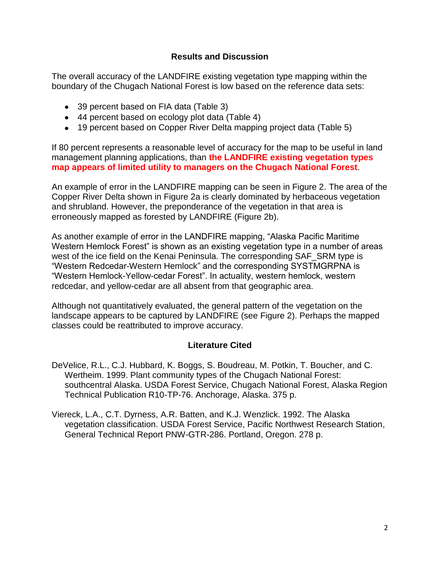## **Results and Discussion**

The overall accuracy of the LANDFIRE existing vegetation type mapping within the boundary of the Chugach National Forest is low based on the reference data sets:

- 39 percent based on FIA data (Table 3)
- 44 percent based on ecology plot data (Table 4)
- 19 percent based on Copper River Delta mapping project data (Table 5)

If 80 percent represents a reasonable level of accuracy for the map to be useful in land management planning applications, than **the LANDFIRE existing vegetation types map appears of limited utility to managers on the Chugach National Forest**.

An example of error in the LANDFIRE mapping can be seen in Figure 2. The area of the Copper River Delta shown in Figure 2a is clearly dominated by herbaceous vegetation and shrubland. However, the preponderance of the vegetation in that area is erroneously mapped as forested by LANDFIRE (Figure 2b).

As another example of error in the LANDFIRE mapping, "Alaska Pacific Maritime Western Hemlock Forest" is shown as an existing vegetation type in a number of areas west of the ice field on the Kenai Peninsula. The corresponding SAF\_SRM type is "Western Redcedar-Western Hemlock" and the corresponding SYSTMGRPNA is "Western Hemlock-Yellow-cedar Forest". In actuality, western hemlock, western redcedar, and yellow-cedar are all absent from that geographic area.

Although not quantitatively evaluated, the general pattern of the vegetation on the landscape appears to be captured by LANDFIRE (see Figure 2). Perhaps the mapped classes could be reattributed to improve accuracy.

## **Literature Cited**

- DeVelice, R.L., C.J. Hubbard, K. Boggs, S. Boudreau, M. Potkin, T. Boucher, and C. Wertheim. 1999. Plant community types of the Chugach National Forest: southcentral Alaska. USDA Forest Service, Chugach National Forest, Alaska Region Technical Publication R10-TP-76. Anchorage, Alaska. 375 p.
- Viereck, L.A., C.T. Dyrness, A.R. Batten, and K.J. Wenzlick. 1992. The Alaska vegetation classification. USDA Forest Service, Pacific Northwest Research Station, General Technical Report PNW-GTR-286. Portland, Oregon. 278 p.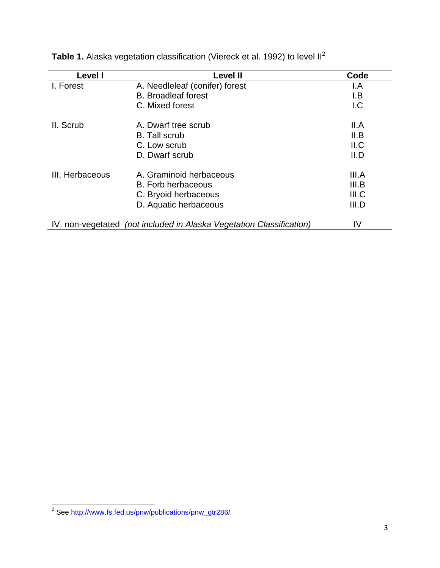| Level I         | Level II                                                             | Code  |
|-----------------|----------------------------------------------------------------------|-------|
| I. Forest       | A. Needleleaf (conifer) forest                                       | I.A   |
|                 | <b>B.</b> Broadleaf forest                                           | I.B   |
|                 | C. Mixed forest                                                      | 1.C   |
| II. Scrub       | A. Dwarf tree scrub                                                  | II.A  |
|                 | <b>B.</b> Tall scrub                                                 | II.B  |
|                 | C. Low scrub                                                         | II.C  |
|                 | D. Dwarf scrub                                                       | II.D  |
| III. Herbaceous | A. Graminoid herbaceous                                              | III.A |
|                 | B. Forb herbaceous                                                   | III.B |
|                 | C. Bryoid herbaceous                                                 | III.C |
|                 | D. Aquatic herbaceous                                                | III.D |
|                 | IV. non-vegetated (not included in Alaska Vegetation Classification) | IV    |

Table 1. Alaska vegetation classification (Viereck et al. 1992) to level II<sup>2</sup>

 2 See [http://www.fs.fed.us/pnw/publications/pnw\\_gtr286/](http://www.fs.fed.us/pnw/publications/pnw_gtr286/)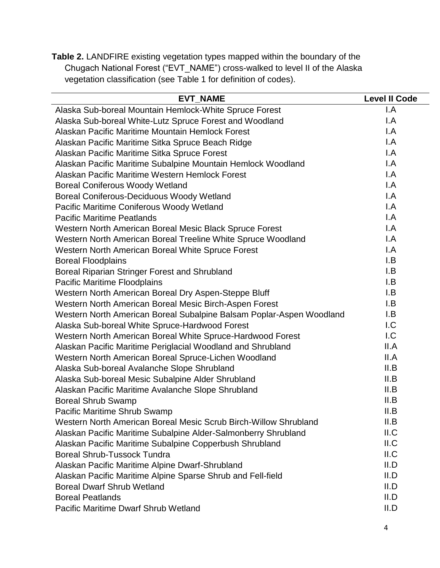**Table 2.** LANDFIRE existing vegetation types mapped within the boundary of the Chugach National Forest ("EVT\_NAME") cross-walked to level II of the Alaska vegetation classification (see Table 1 for definition of codes).

| <b>EVT_NAME</b>                                                      | <b>Level II Code</b>    |
|----------------------------------------------------------------------|-------------------------|
| Alaska Sub-boreal Mountain Hemlock-White Spruce Forest               | I.A                     |
| Alaska Sub-boreal White-Lutz Spruce Forest and Woodland              | I.A                     |
| Alaskan Pacific Maritime Mountain Hemlock Forest                     | $\mathsf{I}.\mathsf{A}$ |
| Alaskan Pacific Maritime Sitka Spruce Beach Ridge                    | $\mathsf{I}.\mathsf{A}$ |
| Alaskan Pacific Maritime Sitka Spruce Forest                         | $\mathsf{I}.\mathsf{A}$ |
| Alaskan Pacific Maritime Subalpine Mountain Hemlock Woodland         | $\mathsf{I}.\mathsf{A}$ |
| Alaskan Pacific Maritime Western Hemlock Forest                      | $\mathsf{I}.\mathsf{A}$ |
| <b>Boreal Coniferous Woody Wetland</b>                               | $\mathsf{I}.\mathsf{A}$ |
| <b>Boreal Coniferous-Deciduous Woody Wetland</b>                     | $\mathsf{I}.\mathsf{A}$ |
| Pacific Maritime Coniferous Woody Wetland                            | $\mathsf{I}.\mathsf{A}$ |
| <b>Pacific Maritime Peatlands</b>                                    | $\mathsf{I}.\mathsf{A}$ |
| Western North American Boreal Mesic Black Spruce Forest              | $\mathsf{I}.\mathsf{A}$ |
| Western North American Boreal Treeline White Spruce Woodland         | I.A                     |
| Western North American Boreal White Spruce Forest                    | $\mathsf{I}.\mathsf{A}$ |
| <b>Boreal Floodplains</b>                                            | I.B                     |
| Boreal Riparian Stringer Forest and Shrubland                        | I.B                     |
| <b>Pacific Maritime Floodplains</b>                                  | I.B                     |
| Western North American Boreal Dry Aspen-Steppe Bluff                 | I.B                     |
| Western North American Boreal Mesic Birch-Aspen Forest               | I.B                     |
| Western North American Boreal Subalpine Balsam Poplar-Aspen Woodland | I.B                     |
| Alaska Sub-boreal White Spruce-Hardwood Forest                       | I.C                     |
| Western North American Boreal White Spruce-Hardwood Forest           | 1.C                     |
| Alaskan Pacific Maritime Periglacial Woodland and Shrubland          | II.A                    |
| Western North American Boreal Spruce-Lichen Woodland                 | II.A                    |
| Alaska Sub-boreal Avalanche Slope Shrubland                          | II.B                    |
| Alaska Sub-boreal Mesic Subalpine Alder Shrubland                    | II.B                    |
| Alaskan Pacific Maritime Avalanche Slope Shrubland                   | II.B                    |
| <b>Boreal Shrub Swamp</b>                                            | II.B                    |
| Pacific Maritime Shrub Swamp                                         | II.B                    |
| Western North American Boreal Mesic Scrub Birch-Willow Shrubland     | II.B                    |
| Alaskan Pacific Maritime Subalpine Alder-Salmonberry Shrubland       | II.C                    |
| Alaskan Pacific Maritime Subalpine Copperbush Shrubland              | II.C                    |
| <b>Boreal Shrub-Tussock Tundra</b>                                   | II.C                    |
| Alaskan Pacific Maritime Alpine Dwarf-Shrubland                      | II.D                    |
| Alaskan Pacific Maritime Alpine Sparse Shrub and Fell-field          | II.D                    |
| <b>Boreal Dwarf Shrub Wetland</b>                                    | II.D                    |
| <b>Boreal Peatlands</b>                                              | II.D                    |
| Pacific Maritime Dwarf Shrub Wetland                                 | II.D                    |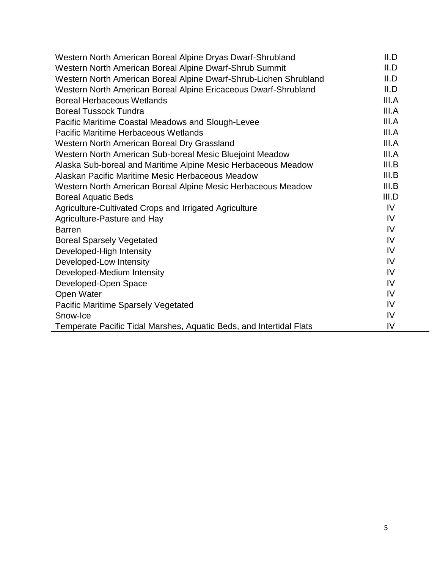| Western North American Boreal Alpine Dryas Dwarf-Shrubland          | II.D  |
|---------------------------------------------------------------------|-------|
| Western North American Boreal Alpine Dwarf-Shrub Summit             | II.D  |
| Western North American Boreal Alpine Dwarf-Shrub-Lichen Shrubland   | II.D  |
| Western North American Boreal Alpine Ericaceous Dwarf-Shrubland     | II.D  |
| <b>Boreal Herbaceous Wetlands</b>                                   | III.A |
| <b>Boreal Tussock Tundra</b>                                        | III.A |
| Pacific Maritime Coastal Meadows and Slough-Levee                   | III.A |
| Pacific Maritime Herbaceous Wetlands                                | III.A |
| Western North American Boreal Dry Grassland                         | III.A |
| Western North American Sub-boreal Mesic Bluejoint Meadow            | III.A |
| Alaska Sub-boreal and Maritime Alpine Mesic Herbaceous Meadow       | III.B |
| Alaskan Pacific Maritime Mesic Herbaceous Meadow                    | III.B |
| Western North American Boreal Alpine Mesic Herbaceous Meadow        | III.B |
| <b>Boreal Aquatic Beds</b>                                          | III.D |
| Agriculture-Cultivated Crops and Irrigated Agriculture              | IV.   |
| Agriculture-Pasture and Hay                                         | IV    |
| <b>Barren</b>                                                       | IV    |
| <b>Boreal Sparsely Vegetated</b>                                    | IV    |
| Developed-High Intensity                                            | IV    |
| Developed-Low Intensity                                             | IV    |
| Developed-Medium Intensity                                          | IV    |
| Developed-Open Space                                                | IV    |
| Open Water                                                          | IV    |
| Pacific Maritime Sparsely Vegetated                                 | IV    |
| Snow-Ice                                                            | IV    |
| Temperate Pacific Tidal Marshes, Aquatic Beds, and Intertidal Flats | IV    |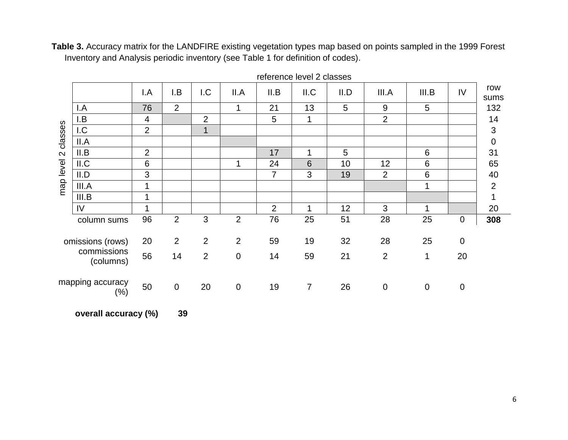**Table 3.** Accuracy matrix for the LANDFIRE existing vegetation types map based on points sampled in the 1999 Forest Inventory and Analysis periodic inventory (see Table 1 for definition of codes).

|                   |                             | I.A            | I.B            | 1.C            | II.A           | II.B           | II.C            | II.D           | III.A          | III.B       | IV             | row<br>sums      |
|-------------------|-----------------------------|----------------|----------------|----------------|----------------|----------------|-----------------|----------------|----------------|-------------|----------------|------------------|
|                   | I.A                         | 76             | $\overline{2}$ |                | 1              | 21             | 13              | 5              | $9\,$          | 5           |                | 132              |
|                   | I.B                         | 4              |                | $\overline{2}$ |                | 5              | 1               |                | $\overline{2}$ |             |                | 14               |
|                   | 1.C                         | $\overline{2}$ |                | $\overline{1}$ |                |                |                 |                |                |             |                | 3                |
| classes           | II.A                        |                |                |                |                |                |                 |                |                |             |                | $\boldsymbol{0}$ |
| $\mathbf{\Omega}$ | II.B                        | $\overline{2}$ |                |                |                | 17             | 1               | $\overline{5}$ |                | 6           |                | 31               |
| map level         | II.C                        | 6              |                |                | $\mathbf 1$    | 24             | $6\phantom{1}6$ | 10             | 12             | 6           |                | 65               |
|                   | II.D                        | 3              |                |                |                | $\overline{7}$ | 3               | 19             | $\overline{2}$ | 6           |                | 40               |
|                   | III.A                       |                |                |                |                |                |                 |                |                | 1           |                | $\overline{2}$   |
|                   | III.B                       |                |                |                |                |                |                 |                |                |             |                | 1                |
|                   | IV                          |                |                |                |                | 2              | 1               | 12             | 3              | 1           |                | 20               |
|                   | column sums                 | 96             | $\overline{2}$ | 3              | $\overline{2}$ | 76             | 25              | 51             | 28             | 25          | 0              | 308              |
|                   | omissions (rows)            | 20             | 2              | 2              | $\overline{2}$ | 59             | 19              | 32             | 28             | 25          | $\overline{0}$ |                  |
|                   | commissions<br>(columns)    | 56             | 14             | 2              | $\pmb{0}$      | 14             | 59              | 21             | $\overline{2}$ | 1           | 20             |                  |
|                   | mapping accuracy<br>$(\% )$ | 50             | $\mathbf 0$    | 20             | $\pmb{0}$      | 19             | $\overline{7}$  | 26             | $\mathbf 0$    | $\mathbf 0$ | 0              |                  |

reference level 2 classes

**overall accuracy (%) 39**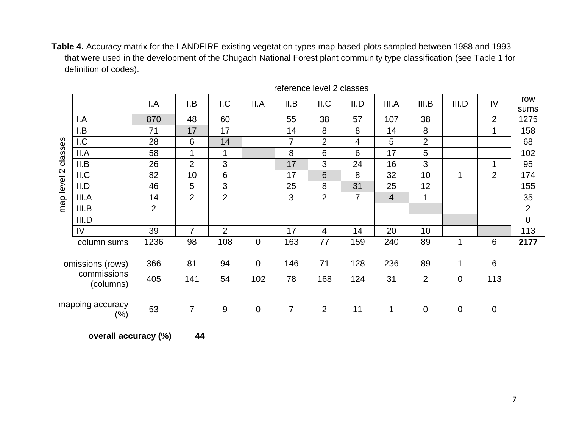**Table 4.** Accuracy matrix for the LANDFIRE existing vegetation types map based plots sampled between 1988 and 1993 that were used in the development of the Chugach National Forest plant community type classification (see Table 1 for definition of codes).

|             |                            | <b>POINT &amp; READY OF A SHOP</b> |                |                  |             |                |                |                |                |                |                  |                |                |
|-------------|----------------------------|------------------------------------|----------------|------------------|-------------|----------------|----------------|----------------|----------------|----------------|------------------|----------------|----------------|
|             |                            | I.A                                | I.B            | 1.C              | II.A        | II.B           | II.C           | II.D           | III.A          | III.B          | III.D            | IV             | row<br>sums    |
|             | I.A                        | 870                                | 48             | 60               |             | 55             | 38             | 57             | 107            | 38             |                  | $\overline{2}$ | 1275           |
|             | I.B                        | 71                                 | 17             | 17               |             | 14             | 8              | 8              | 14             | 8              |                  | 1              | 158            |
|             | 1.C                        | 28                                 | 6              | 14               |             | $\overline{7}$ | $\overline{2}$ | 4              | 5              | $\overline{2}$ |                  |                | 68             |
| classes     | II.A                       | 58                                 | $\mathbf 1$    | $\mathbf 1$      |             | 8              | 6              | $6\phantom{1}$ | 17             | 5              |                  |                | 102            |
|             | II.B                       | 26                                 | 2              | 3                |             | 17             | 3              | 24             | 16             | $\mathfrak{S}$ |                  | 1              | 95             |
| map level 2 | II.C                       | 82                                 | 10             | $6\phantom{1}6$  |             | 17             | 6              | 8              | 32             | 10             | 1                | 2              | 174            |
|             | II.D                       | 46                                 | 5              | 3                |             | 25             | 8              | 31             | 25             | 12             |                  |                | 155            |
|             | III.A                      | 14                                 | $\overline{2}$ | $\overline{2}$   |             | 3              | 2              | $\overline{7}$ | $\overline{4}$ | 1              |                  |                | 35             |
|             | III.B                      | $\overline{2}$                     |                |                  |             |                |                |                |                |                |                  |                | $\overline{2}$ |
|             | III.D                      |                                    |                |                  |             |                |                |                |                |                |                  |                | $\mathbf 0$    |
|             | IV                         | 39                                 | $\overline{7}$ | $\overline{2}$   |             | 17             | $\overline{4}$ | 14             | 20             | 10             |                  |                | 113            |
|             | column sums                | 1236                               | 98             | 108              | $\mathbf 0$ | 163            | 77             | 159            | 240            | 89             | 1                | $\,6\,$        | 2177           |
|             | omissions (rows)           | 366                                | 81             | 94               | $\mathbf 0$ | 146            | 71             | 128            | 236            | 89             | 1                | $6\phantom{1}$ |                |
|             | commissions<br>(columns)   | 405                                | 141            | 54               | 102         | 78             | 168            | 124            | 31             | $\overline{2}$ | $\pmb{0}$        | 113            |                |
|             | mapping accuracy<br>$(\%)$ | 53                                 | $\overline{7}$ | $\boldsymbol{9}$ | $\mathbf 0$ | $\overline{7}$ | $\overline{2}$ | 11             | 1              | $\pmb{0}$      | $\boldsymbol{0}$ | $\mathbf 0$    |                |

reference level 2 classes

**overall accuracy (%) 44**

7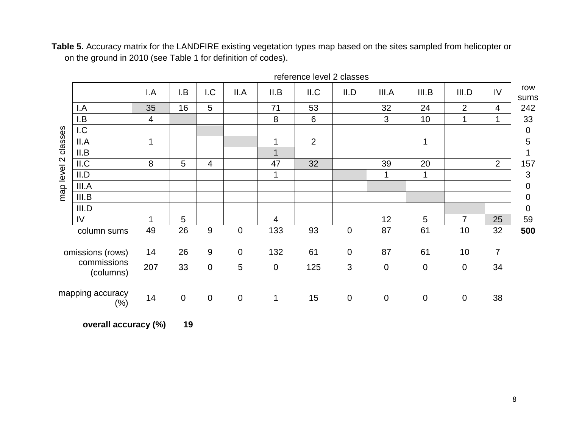**Table 5.** Accuracy matrix for the LANDFIRE existing vegetation types map based on the sites sampled from helicopter or on the ground in 2010 (see Table 1 for definition of codes).

|                   |                            | I.A            | I.B             | 1.C            | II.A             | II.B        | II.C           | II.D             | III.A       | III.B           | III.D          | IV             | row<br>sums      |
|-------------------|----------------------------|----------------|-----------------|----------------|------------------|-------------|----------------|------------------|-------------|-----------------|----------------|----------------|------------------|
|                   | I.A                        | 35             | 16              | 5              |                  | 71          | 53             |                  | 32          | 24              | $\overline{2}$ | 4              | 242              |
|                   | I.B                        | $\overline{4}$ |                 |                |                  | $\bf 8$     | 6              |                  | 3           | 10              | 1              | $\mathbf 1$    | 33               |
|                   | 1.C                        |                |                 |                |                  |             |                |                  |             |                 |                |                | $\boldsymbol{0}$ |
| classes           | II.A                       | $\mathbf 1$    |                 |                |                  | 1           | $\overline{2}$ |                  |             | $\mathbf{1}$    |                |                | 5                |
|                   | II.B                       |                |                 |                |                  | 1           |                |                  |             |                 |                |                | 1                |
| $\mathbf{\Omega}$ | II.C                       | 8              | $5\phantom{.0}$ | 4              |                  | 47          | 32             |                  | 39          | 20              |                | $\overline{2}$ | 157              |
| map level         | II.D                       |                |                 |                |                  | $\mathbf 1$ |                |                  | 1           |                 |                |                | 3                |
|                   | III.A                      |                |                 |                |                  |             |                |                  |             |                 |                |                | $\overline{0}$   |
|                   | III.B                      |                |                 |                |                  |             |                |                  |             |                 |                |                | $\mathbf 0$      |
|                   | III.D                      |                |                 |                |                  |             |                |                  |             |                 |                |                | $\mathbf 0$      |
|                   | IV                         | 1              | 5               |                |                  | 4           |                |                  | 12          | $5\phantom{.0}$ | $\overline{7}$ | 25             | 59               |
|                   | column sums                | 49             | 26              | $9\,$          | $\boldsymbol{0}$ | 133         | 93             | $\boldsymbol{0}$ | 87          | 61              | 10             | 32             | 500              |
|                   | omissions (rows)           | 14             | 26              | 9              | $\mathbf 0$      | 132         | 61             | $\pmb{0}$        | 87          | 61              | 10             | $\overline{7}$ |                  |
|                   | commissions<br>(columns)   | 207            | 33              | $\overline{0}$ | 5                | $\mathbf 0$ | 125            | 3                | $\mathbf 0$ | $\overline{0}$  | $\mathbf 0$    | 34             |                  |
|                   | mapping accuracy<br>$(\%)$ | 14             | $\mathbf 0$     | $\mathbf 0$    | $\pmb{0}$        | 1           | 15             | $\pmb{0}$        | $\mathbf 0$ | $\mathbf 0$     | $\mathbf 0$    | 38             |                  |

reference level 2 classes

**overall accuracy (%) 19**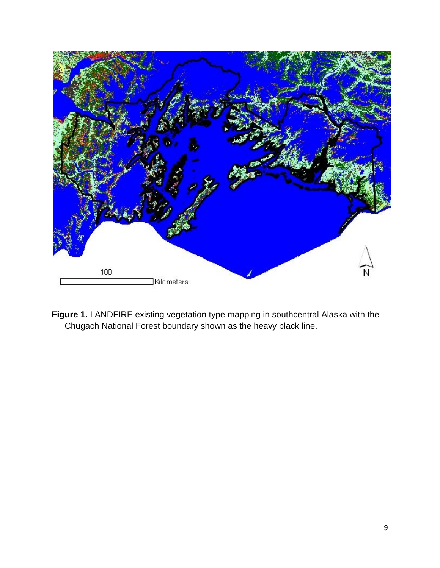

**Figure 1.** LANDFIRE existing vegetation type mapping in southcentral Alaska with the Chugach National Forest boundary shown as the heavy black line.